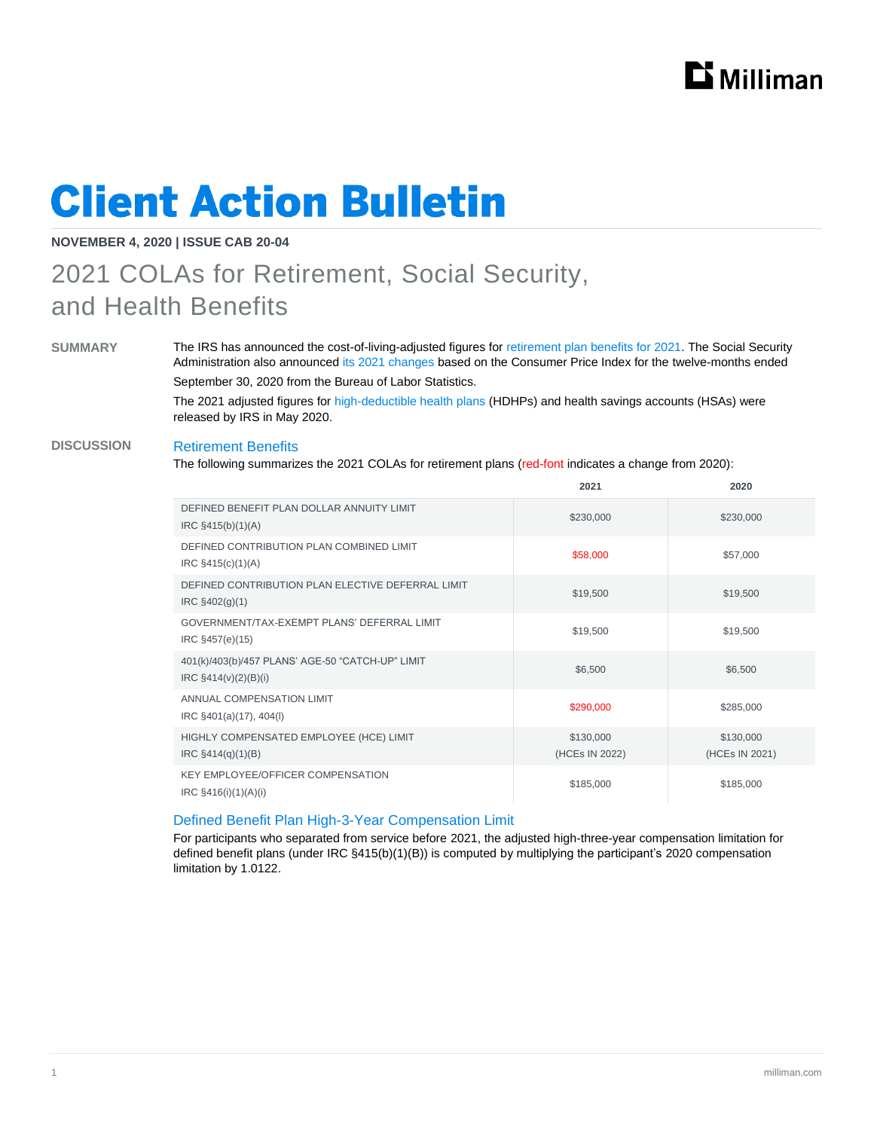

# **Client Action Bulletin**

### **NOVEMBER 4, 2020 | ISSUE CAB 20-04**

### 2021 COLAs for Retirement, Social Security, and Health Benefits

**SUMMARY** The IRS has announced the cost-of-living-adjusted figures for [retirement plan benefits for 2021.](https://www.irs.gov/pub/irs-drop/n-20-79.pdf) The Social Security Administration also announced its 2021 [changes](https://www.ssa.gov/news/press/releases/2020/#10-2020-1) based on the Consumer Price Index for the twelve-months ended September 30, 2020 from the Bureau of Labor Statistics.

> The 2021 adjusted figures for [high-deductible health plans](https://www.irs.gov/pub/irs-drop/rp-20-32.pdf) (HDHPs) and health savings accounts (HSAs) were released by IRS in May 2020.

### **DISCUSSION** Retirement Benefits

The following summarizes the 2021 COLAs for retirement plans (red-font indicates a change from 2020):

|                                                                             | 2021                        | 2020                        |
|-----------------------------------------------------------------------------|-----------------------------|-----------------------------|
| DEFINED BENEFIT PLAN DOLLAR ANNUITY LIMIT<br>$IRC$ §415(b)(1)(A)            | \$230,000                   | \$230,000                   |
| DEFINED CONTRIBUTION PLAN COMBINED LIMIT<br>IRC §415(c)(1)(A)               | \$58,000                    | \$57,000                    |
| DEFINED CONTRIBUTION PLAN ELECTIVE DEFERRAL LIMIT<br>$IRC$ §402(g)(1)       | \$19,500                    | \$19,500                    |
| GOVERNMENT/TAX-EXEMPT PLANS' DEFERRAL LIMIT<br>IRC §457(e)(15)              | \$19,500                    | \$19,500                    |
| 401(k)/403(b)/457 PLANS' AGE-50 "CATCH-UP" LIMIT<br>$IRC \S414(v)(2)(B)(i)$ | \$6,500                     | \$6,500                     |
| ANNUAL COMPENSATION LIMIT<br>IRC §401(a)(17), 404(l)                        | \$290,000                   | \$285,000                   |
| HIGHLY COMPENSATED EMPLOYEE (HCE) LIMIT<br>$IRC$ §414(q)(1)(B)              | \$130,000<br>(HCEs IN 2022) | \$130,000<br>(HCEs IN 2021) |
| <b>KEY EMPLOYEE/OFFICER COMPENSATION</b><br>IRC $§416(i)(1)(A)(i)$          | \$185,000                   | \$185,000                   |

#### Defined Benefit Plan High-3-Year Compensation Limit

For participants who separated from service before 2021, the adjusted high-three-year compensation limitation for defined benefit plans (under IRC §415(b)(1)(B)) is computed by multiplying the participant's 2020 compensation limitation by 1.0122.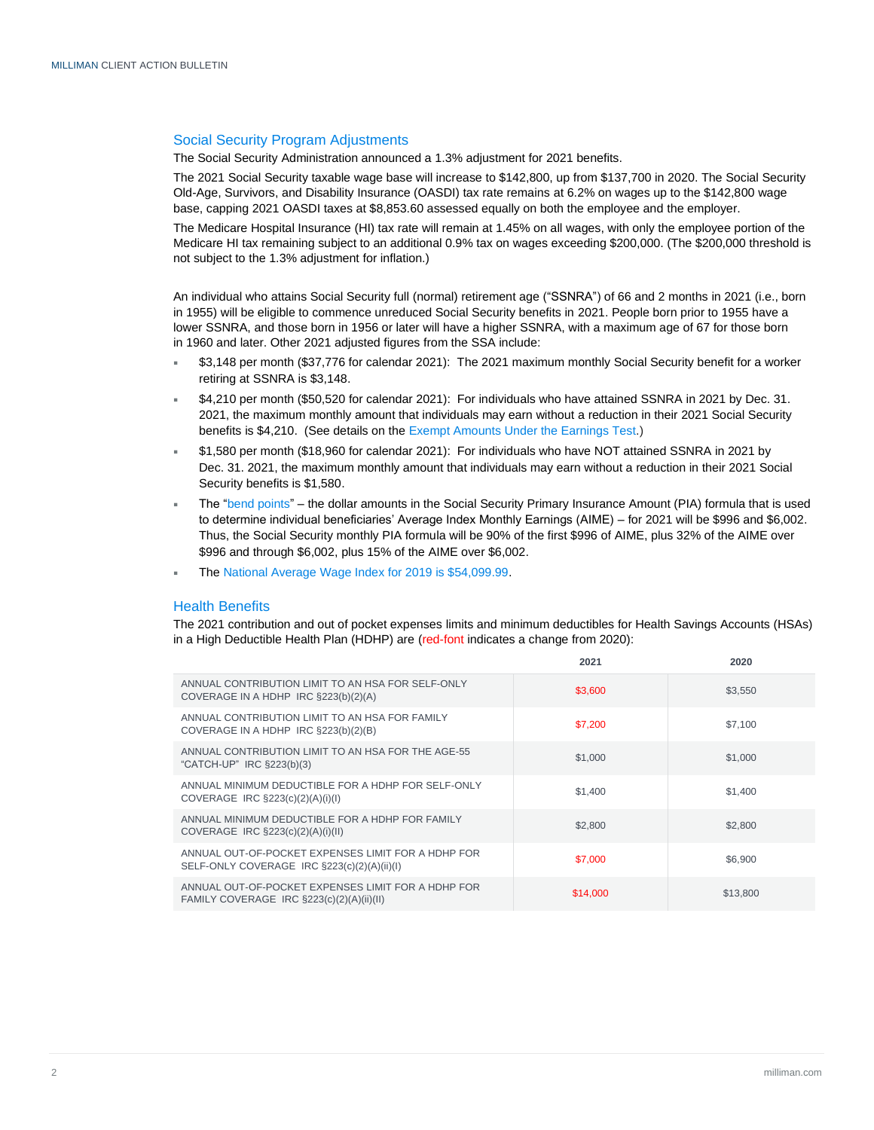#### Social Security Program Adjustments

The Social Security Administration announced a 1.3% adjustment for 2021 benefits.

The 2021 Social Security taxable wage base will increase to \$142,800, up from \$137,700 in 2020. The Social Security Old-Age, Survivors, and Disability Insurance (OASDI) tax rate remains at 6.2% on wages up to the \$142,800 wage base, capping 2021 OASDI taxes at \$8,853.60 assessed equally on both the employee and the employer.

The Medicare Hospital Insurance (HI) tax rate will remain at 1.45% on all wages, with only the employee portion of the Medicare HI tax remaining subject to an additional 0.9% tax on wages exceeding \$200,000. (The \$200,000 threshold is not subject to the 1.3% adjustment for inflation.)

An individual who attains Social Security full (normal) retirement age ("SSNRA") of 66 and 2 months in 2021 (i.e., born in 1955) will be eligible to commence unreduced Social Security benefits in 2021. People born prior to 1955 have a lower SSNRA, and those born in 1956 or later will have a higher SSNRA, with a maximum age of 67 for those born in 1960 and later. Other 2021 adjusted figures from the SSA include:

- \$3,148 per month (\$37,776 for calendar 2021): The 2021 maximum monthly Social Security benefit for a worker retiring at SSNRA is \$3,148.
- \$4,210 per month (\$50,520 for calendar 2021): For individuals who have attained SSNRA in 2021 by Dec. 31. 2021, the maximum monthly amount that individuals may earn without a reduction in their 2021 Social Security benefits is \$4,210. (See details on the [Exempt Amounts Under the Earnings Test.](https://www.ssa.gov/oact/cola/rtea.html))
- \$1,580 per month (\$18,960 for calendar 2021): For individuals who have NOT attained SSNRA in 2021 by Dec. 31. 2021, the maximum monthly amount that individuals may earn without a reduction in their 2021 Social Security benefits is \$1,580.
- The ["bend points"](https://www.ssa.gov/OACT/COLA/bendpoints.html) the dollar amounts in the Social Security Primary Insurance Amount (PIA) formula that is used to determine individual beneficiaries' Average Index Monthly Earnings (AIME) – for 2021 will be \$996 and \$6,002. Thus, the Social Security monthly PIA formula will be 90% of the first \$996 of AIME, plus 32% of the AIME over \$996 and through \$6,002, plus 15% of the AIME over \$6,002.
- The National Average [Wage Index for 2019 is \\$54,099.99.](https://www.ssa.gov/oact/cola/AWI.html)

#### Health Benefits

The 2021 contribution and out of pocket expenses limits and minimum deductibles for Health Savings Accounts (HSAs) in a High Deductible Health Plan (HDHP) are (red-font indicates a change from 2020):

|                                                                                                   | 2021     | 2020     |
|---------------------------------------------------------------------------------------------------|----------|----------|
| ANNUAL CONTRIBUTION LIMIT TO AN HSA FOR SELF-ONLY<br>COVERAGE IN A HDHP IRC §223(b)(2)(A)         | \$3,600  | \$3,550  |
| ANNUAL CONTRIBUTION LIMIT TO AN HSA FOR FAMILY<br>COVERAGE IN A HDHP IRC §223(b)(2)(B)            | \$7,200  | \$7,100  |
| ANNUAL CONTRIBUTION LIMIT TO AN HSA FOR THE AGE-55<br>"CATCH-UP" IRC §223(b)(3)                   | \$1,000  | \$1,000  |
| ANNUAL MINIMUM DEDUCTIBLE FOR A HDHP FOR SELF-ONLY<br>COVERAGE IRC §223(c)(2)(A)(i)(l)            | \$1,400  | \$1,400  |
| ANNUAL MINIMUM DEDUCTIBLE FOR A HDHP FOR FAMILY<br>COVERAGE IRC $\S223(c)(2)(A)(i)(II)$           | \$2,800  | \$2,800  |
| ANNUAL OUT-OF-POCKET EXPENSES LIMIT FOR A HDHP FOR<br>SELF-ONLY COVERAGE IRC §223(c)(2)(A)(ii)(I) | \$7,000  | \$6,900  |
| ANNUAL OUT-OF-POCKET EXPENSES LIMIT FOR A HDHP FOR<br>FAMILY COVERAGE IRC §223(c)(2)(A)(ii)(II)   | \$14,000 | \$13,800 |